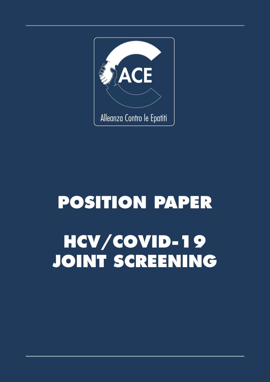

# **POSITION PAPER HCV/COVID-19 JOINT SCREENING**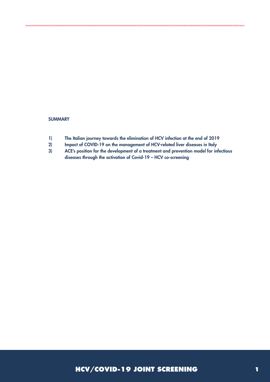#### **SUMMARY**

- 1) The Italian journey towards the elimination of HCV infection at the end of 2019
- 2) Impact of COVID-19 on the management of HCV-related liver diseases in Italy
- 3) ACE's position for the development of a treatment and prevention model for infectious diseases through the activation of Covid-19 – HCV co-screening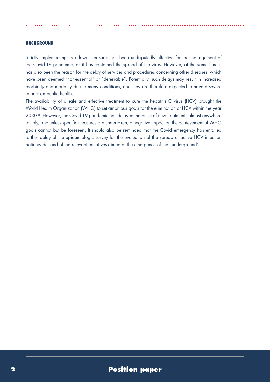#### **BACKGROUND**

Strictly implementing lock-down measures has been undisputedly effective for the management of the Covid-19 pandemic, as it has contained the spread of the virus. However, at the same time it has also been the reason for the delay of services and procedures concerning other diseases, which have been deemed "non-essential" or "deferrable". Potentially, such delays may result in increased morbidity and mortality due to many conditions, and they are therefore expected to have a severe impact on public health.

The availability of a safe and effective treatment to cure the hepatitis C virus (HCV) brought the World Health Organization (WHO) to set ambitious goals for the elimination of HCV within the year 2030<sup>(1)</sup>. However, the Covid-19 pandemic has delayed the onset of new treatments almost anywhere in Italy, and unless specific measures are undertaken, a negative impact on the achievement of WHO goals cannot but be foreseen. It should also be reminded that the Covid emergency has entailed further delay of the epidemiologic survey for the evaluation of the spread of active HCV infection nationwide, and of the relevant initiatives aimed at the emergence of the "underground".

## **Position paper**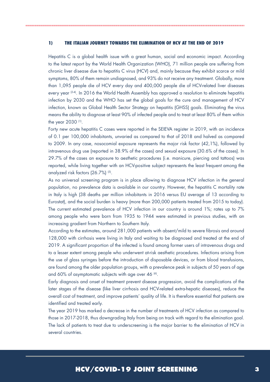#### **1) THE ITALIAN JOURNEY TOWARDS THE ELIMINATION OF HCV AT THE END OF 2019**

Hepatitis C is a global health issue with a great human, social and economic impact. According to the latest report by the World Health Organization (WHO), 71 million people are suffering from chronic liver disease due to hepatitis C virus (HCV) and, mainly because they exhibit scarce or mild symptoms, 80% of them remain undiagnosed, and 93% do not receive any treatment. Globally, more than 1,095 people die of HCV every day and 400,000 people die of HCV-related liver diseases every year <sup>(24)</sup>. In 2016 the World Health Assembly has approved a resolution to eliminate hepatitis infection by 2030 and the WHO has set the global goals for the cure and management of HCV infection, known as Global Health Sector Strategy on hepatitis (GHSS) goals. Eliminating the virus means the ability to diagnose at least 90% of infected people and to treat at least 80% of them within the year 2030 (1).

Forty new acute hepatitis C cases were reported in the SEIEVA register in 2019, with an incidence of 0.1 per 100,000 inhabitants, unvaried as compared to that of 2018 and halved as compared to 2009. In any case, nosocomial exposure represents the major risk factor (42,1%), followed by intravenous drug use (reported in 38.9% of the cases) and sexual exposure (30.6% of the cases). In 29.7% of the cases an exposure to aesthetic procedures (i.e. manicure, piercing and tattoos) was reported, while living together with an HCV-positive subject represents the least frequent among the analyzed risk factors (26.7%) (5).

As no universal screening program is in place allowing to diagnose HCV infection in the general population, no prevalence data is available in our country. However, the hepatitis C mortality rate in Italy is high (38 deaths per million inhabitants in 2016 versus EU average of 13 according to Eurostat), and the social burden is heavy (more than 200,000 patients treated from 2015 to today). The current estimated prevalence of HCV infection in our country is around 1%; rates up to 7% among people who were born from 1935 to 1944 were estimated in previous studies, with an increasing gradient from Northern to Southern Italy.

According to the estimates, around 281,000 patients with absent/mild to severe fibrosis and around 128,000 with cirrhosis were living in Italy and waiting to be diagnosed and treated at the end of 2019. A significant proportion of the infected is found among former users of intravenous drugs and to a lesser extent among people who underwent at-risk aesthetic procedures. Infections arising from the use of glass syringes before the introduction of disposable devices, or from blood transfusions, are found among the older population groups, with a prevalence peak in subjects of 50 years of age and 60% of asymptomatic subjects with age over 46 (6).

Early diagnosis and onset of treatment prevent disease progression, avoid the complications of the later stages of the disease (like liver cirrhosis and HCV-related extra-hepatic diseases), reduce the overall cost of treatment, and improve patients' quality of life. It is therefore essential that patients are identified and treated early.

The year 2019 has marked a decrease in the number of treatments of HCV infection as compared to those in 2017-2018, thus downgrading Italy from being on track with regard to the elimination goal. The lack of patients to treat due to underscreening is the major barrier to the elimination of HCV in several countries.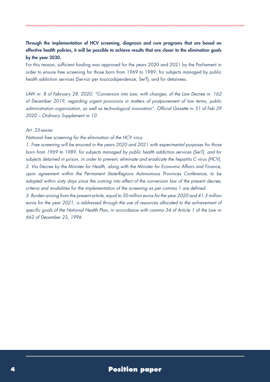## Through the implementation of HCV screening, diagnosis and cure programs that are based on effective health policies, it will be possible to achieve results that are closer to the elimination goals by the year 2030.

For this reason, sufficient funding was approved for the years 2020 and 2021 by the Parliament in order to ensure free screening for those born from 1969 to 1989, for subjects managed by public health addiction services (Servizi per tossicodipendenze, SerT), and for detainees.

*LAW nr. 8 of February 28, 2020, "Conversion into Law, with changes, of the Law Decree nr. 162 of December 2019, regarding urgent provisions in matters of postponement of law terms, public administration organization, as well as technological innovation". Official Gazette nr 51 of Feb 29 2020 – Ordinary Supplement nr 10*

#### *Art. 25-sexies*

*National free screening for the elimination of the HCV virus*

*1. Free screening will be ensured in the years 2020 and 2021 with experimental purposes for those born from 1969 to 1989, for subjects managed by public health addiction services (SerT), and for subjects detained in prison, in order to prevent, eliminate and eradicate the hepatitis C virus (HCV). 2. Via Decree by the Minister for Health, along with the Minister for Economic Affairs and Finance, upon agreement within the Permanent State-Regions Autonomous Provinces Conference, to be adopted within sixty days since the coming into effect of the conversion law of the present decree, criteria and modalities for the implementation of the screening as per comma 1 are defined.*

*3. Burden arising from the present article, equal to 30 million euros for the year 2020 and 41.5 million euros for the year 2021, is addressed through the use of resources allocated to the achievement of specific goals of the National Health Plan, in accordance with comma 34 of Article 1 of the Law nr 662 of December 23, 1996.*

### **Position paper**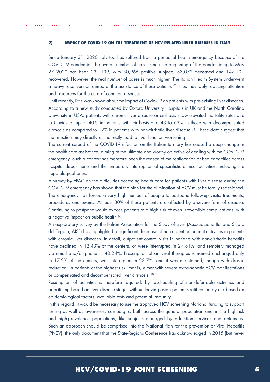#### **2) IMPACT OF COVID-19 ON THE TREATMENT OF HCV-RELATED LIVER DISEASES IN ITALY**

Since January 31, 2020 Italy too has suffered from a period of health emergency because of the COVID-19 pandemic. The overall number of cases since the beginning of the pandemic up to May 27 2020 has been 231,139, with 50,966 positive subjects, 33,072 deceased and 147,101 recovered. However, the real number of cases is much higher. The Italian Health System underwent a heavy reconversion aimed at the assistance of these patients  $\sigma$ , thus inevitably reducing attention and resources for the cure of common diseases.

Until recently, little was known about the impact of Covid-19 on patients with pre-existing liver diseases. According to a new study conducted by Oxford University Hospitals in UK and the North Carolina University in USA, patients with chronic liver disease or cirrhosis show elevated mortality rates due to Covid-19, up to 40% in patients with cirrhosis and 43 to 63% in those with decompensated cirrhosis as compared to 12% in patients with non-cirrhotic liver disease (8). These data suggest that the infection may directly or indirectly lead to liver function worsening.

The current spread of the COVID-19 infection on the Italian territory has caused a deep change in the health care assistance, aiming at the ultimate and worthy objective of dealing with the COVID-19 emergency. Such a context has therefore been the reason of the reallocation of bed capacities across hospital departments and the temporary interruption of specialistic clinical activities, including the hepatological ones.

A survey by EPAC on the difficulties accessing health care for patients with liver disease during the COVID-19 emergency has shown that the plan for the elimination of HCV must be totally redesigned. The emergency has forced a very high number of people to postpone follow-up visits, treatments, procedures and exams. At least 30% of these patients are affected by a severe form of disease. Continuing to postpone would expose patients to a high risk of even irreversible complications, with a negative impact on public health (9).

An exploratory survey by the Italian Association for the Study of Liver (Associazione Italiana Studio del Fegato, AISF) has highlighted a significant decrease of non-urgent outpatient activities in patients with chronic liver diseases. In detail, outpatient control visits in patients with non-cirrhotic hepatitis have declined in 12.43% of the centers, or were interrupted in 27.81%, and remotely managed via email and/or phone in 40.24%. Prescription of antiviral therapies remained unchanged only in 17.2% of the centers, was interrupted in 23.7%, and it was maintained, though with drastic reduction, in patients at the highest risk, that is, either with severe extra-hepatic HCV manifestations or compensated and decompensated liver cirrhosis (10).

Resumption of activities is therefore required, by rescheduling of non-deferrable activities and prioritizing based on liver disease stage, without leaving aside patient stratification by risk based on epidemiological factors, available tests and potential immunity.

In this regard, it would be necessary to use the approved HCV screening National funding to support testing as well as awareness campaigns, both across the general population and in the high-risk and high-prevalence populations, like subjects managed by addiction services and detainees. Such an approach should be comprised into the National Plan for the prevention of Viral Hepatitis (PNEV), the only document that the State-Regions Conference has acknowledged in 2015 (but never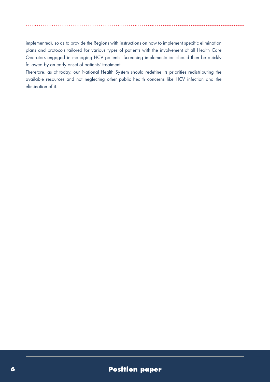implemented), so as to provide the Regions with instructions on how to implement specific elimination plans and protocols tailored for various types of patients with the involvement of all Health Care Operators engaged in managing HCV patients. Screening implementation should then be quickly followed by an early onset of patients' treatment.

Therefore, as of today, our National Health System should redefine its priorities redistributing the available resources and not neglecting other public health concerns like HCV infection and the elimination of it.

## **Position paper**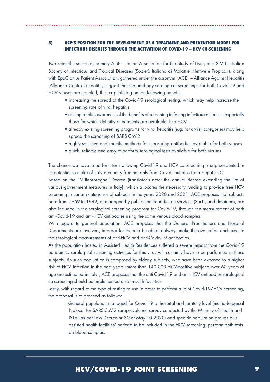#### **3) ACE'S POSITION FOR THE DEVELOPMENT OF A TREATMENT AND PREVENTION MODEL FOR INFECTIOUS DISEASES THROUGH THE ACTIVATION OF COVID-19 – HCV CO-SCREENING**

Two scientific societies, namely AISF – Italian Association for the Study of Liver, and SIMIT – Italian Society of Infectious and Tropical Diseases (Società Italiana di Malattie Infettive e Tropicali), along with EpaC onlus Patient Association, gathered under the acronym "ACE" – Alliance Against Hepatitis (Alleanza Contro le Epatiti), suggest that the antibody serological screenings for both Covid-19 and HCV viruses are coupled, thus capitalizing on the following benefits:

- increasing the spread of the Covid-19 serological testing, which may help increase the screening rate of viral hepatitis
- raising public awareness of the benefits of screening in facing infectious diseases, especially those for which definitive treatments are available, like HCV
- already existing screening programs for viral hepatitis (e.g. for at-risk categories) may help spread the screening of SARS-CoV-2
- highly sensitive and specific methods for measuring antibodies available for both viruses
- quick, reliable and easy to perform serological tests available for both viruses

The chance we have to perform tests allowing Covid-19 and HCV co-screening is unprecedented in its potential to make of Italy a country free not only from Covid, but also from Hepatitis C.

Based on the "Milleproroghe" Decree (translator's note: the annual decree extending the life of various government measures in Italy), which allocates the necessary funding to provide free HCV screening in certain categories of subjects in the years 2020 and 2021, ACE proposes that subjects born from 1969 to 1989, or managed by public health addiction services (SerT), and detainees, are also included in the serological screening program for Covid-19, through the measurement of both anti-Covid-19 and anti-HCV antibodies using the same venous blood samples.

With regard to general population, ACE proposes that the General Practitioners and Hospital Departments are involved, in order for them to be able to always make the evaluation and execute the serological measurements of anti-HCV and anti-Covid-19 antibodies.

As the population hosted in Assisted Health Residences suffered a severe impact from the Covid-19 pandemic, serological screening activities for this virus will certainly have to be performed in these subjects. As such population is composed by elderly subjects, who have been exposed to a higher risk of HCV infection in the past years (more than 140,000 HCV-positive subjects over 60 years of age are estimated in Italy), ACE proposes that the anti-Covid-19 and anti-HCV antibodies serological co-screening should be implemented also in such facilities.

Lastly, with regard to the type of testing to use in order to perform a joint Covid-19/HCV screening, the proposal is to proceed as follows:

- General population managed for Covid-19 at hospital and territory level (methodological Protocol for SARS-CoV-2 seroprevalence survey conducted by the Ministry of Health and ISTAT as per Law Decree nr 30 of May 10 2020) and specific population groups plus assisted health facilities' patients to be included in the HCV screening: perform both tests on blood samples.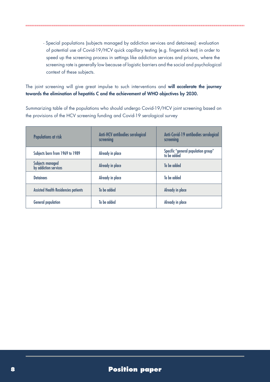- Special populations (subjects managed by addiction services and detainees): evaluation of potential use of Covid-19/HCV quick capillary testing (e.g. fingerstick test) in order to speed up the screening process in settings like addiction services and prisons, where the screening rate is generally low because of logistic barriers and the social and psychological context of these subjects.

The joint screening will give great impulse to such interventions and will accelerate the journey towards the elimination of hepatitis C and the achievement of WHO objectives by 2030.

Summarizing table of the populations who should undergo Covid-19/HCV joint screening based on the provisions of the HCV screening funding and Covid-19 serological survey

| <b>Populations at risk</b>                  | Anti-HCV antibodies serological<br>screening | Anti-Covid-19 antibodies serological<br>screening  |
|---------------------------------------------|----------------------------------------------|----------------------------------------------------|
| Subjects born from 1969 to 1989             | Already in place                             | Specific "general population group"<br>to be added |
| Subjects managed<br>by addiction services   | Already in place                             | To be added                                        |
| <b>Detainees</b>                            | Already in place                             | To be added                                        |
| <b>Assisted Health Residencies patients</b> | To be added                                  | Already in place                                   |
| <b>General population</b>                   | To be added                                  | Already in place                                   |